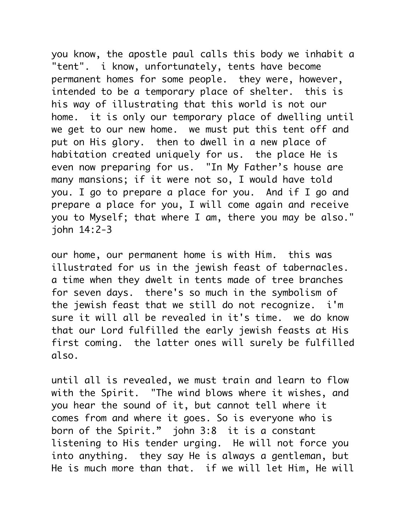you know, the apostle paul calls this body we inhabit a "tent". i know, unfortunately, tents have become permanent homes for some people. they were, however, intended to be a temporary place of shelter. this is his way of illustrating that this world is not our home. it is only our temporary place of dwelling until we get to our new home. we must put this tent off and put on His glory. then to dwell in a new place of habitation created uniquely for us. the place He is even now preparing for us. "In My Father's house are many mansions; if it were not so, I would have told you. I go to prepare a place for you. And if I go and prepare a place for you, I will come again and receive you to Myself; that where I am, there you may be also." john 14:2-3

our home, our permanent home is with Him. this was illustrated for us in the jewish feast of tabernacles. a time when they dwelt in tents made of tree branches for seven days. there's so much in the symbolism of the jewish feast that we still do not recognize. i'm sure it will all be revealed in it's time. we do know that our Lord fulfilled the early jewish feasts at His first coming. the latter ones will surely be fulfilled also.

until all is revealed, we must train and learn to flow with the Spirit. "The wind blows where it wishes, and you hear the sound of it, but cannot tell where it comes from and where it goes. So is everyone who is born of the Spirit." john 3:8 it is a constant listening to His tender urging. He will not force you into anything. they say He is always a gentleman, but He is much more than that. if we will let Him, He will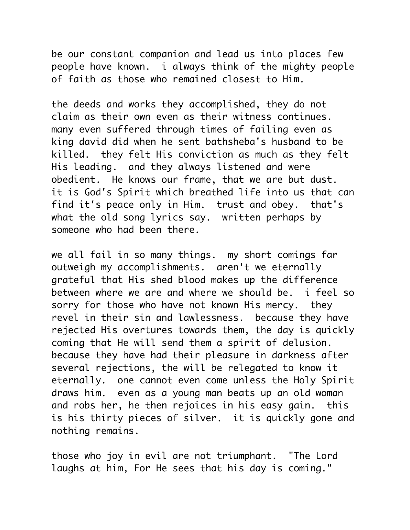be our constant companion and lead us into places few people have known. i always think of the mighty people of faith as those who remained closest to Him.

the deeds and works they accomplished, they do not claim as their own even as their witness continues. many even suffered through times of failing even as king david did when he sent bathsheba's husband to be killed. they felt His conviction as much as they felt His leading. and they always listened and were obedient. He knows our frame, that we are but dust. it is God's Spirit which breathed life into us that can find it's peace only in Him. trust and obey. that's what the old song lyrics say. written perhaps by someone who had been there.

we all fail in so many things. my short comings far outweigh my accomplishments. aren't we eternally grateful that His shed blood makes up the difference between where we are and where we should be. i feel so sorry for those who have not known His mercy. they revel in their sin and lawlessness. because they have rejected His overtures towards them, the day is quickly coming that He will send them a spirit of delusion. because they have had their pleasure in darkness after several rejections, the will be relegated to know it eternally. one cannot even come unless the Holy Spirit draws him. even as a young man beats up an old woman and robs her, he then rejoices in his easy gain. this is his thirty pieces of silver. it is quickly gone and nothing remains.

those who joy in evil are not triumphant. "The Lord laughs at him, For He sees that his day is coming."